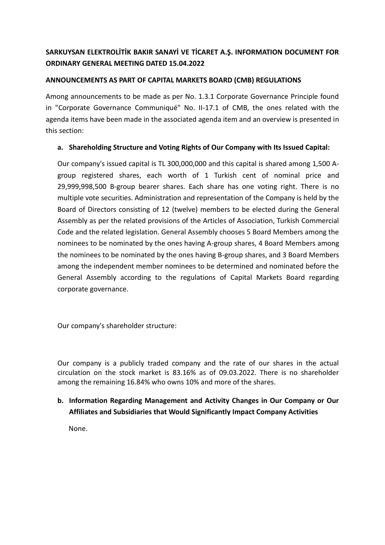## **SARKUYSAN ELEKTROLİTİK BAKIR SANAYİ VE TİCARET A.Ş. INFORMATION DOCUMENT FOR ORDINARY GENERAL MEETING DATED 15.04.2022**

### **ANNOUNCEMENTS AS PART OF CAPITAL MARKETS BOARD (CMB) REGULATIONS**

Among announcements to be made as per No. 1.3.1 Corporate Governance Principle found in "Corporate Governance Communiqué" No. II-17.1 of CMB, the ones related with the agenda items have been made in the associated agenda item and an overview is presented in this section:

### **a. Shareholding Structure and Voting Rights of Our Company with Its Issued Capital:**

Our company's issued capital is TL 300,000,000 and this capital is shared among 1,500 Agroup registered shares, each worth of 1 Turkish cent of nominal price and 29,999,998,500 B-group bearer shares. Each share has one voting right. There is no multiple vote securities. Administration and representation of the Company is held by the Board of Directors consisting of 12 (twelve) members to be elected during the General Assembly as per the related provisions of the Articles of Association, Turkish Commercial Code and the related legislation. General Assembly chooses 5 Board Members among the nominees to be nominated by the ones having A-group shares, 4 Board Members among the nominees to be nominated by the ones having B-group shares, and 3 Board Members among the independent member nominees to be determined and nominated before the General Assembly according to the regulations of Capital Markets Board regarding corporate governance.

Our company's shareholder structure:

Our company is a publicly traded company and the rate of our shares in the actual circulation on the stock market is 83.16% as of 09.03.2022. There is no shareholder among the remaining 16.84% who owns 10% and more of the shares.

### **b. Information Regarding Management and Activity Changes in Our Company or Our Affiliates and Subsidiaries that Would Significantly Impact Company Activities**

None.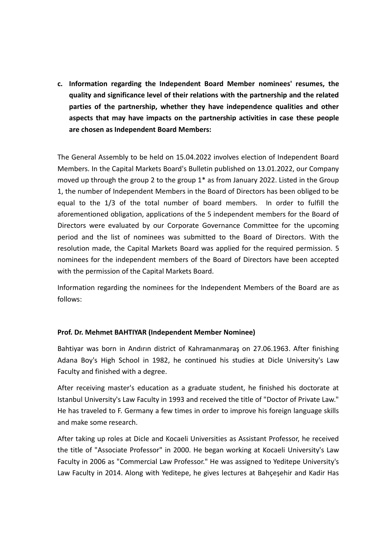**c. Information regarding the Independent Board Member nominees' resumes, the quality and significance level of their relations with the partnership and the related parties of the partnership, whether they have independence qualities and other aspects that may have impacts on the partnership activities in case these people are chosen as Independent Board Members:**

The General Assembly to be held on 15.04.2022 involves election of Independent Board Members. In the Capital Markets Board's Bulletin published on 13.01.2022, our Company moved up through the group 2 to the group 1\* as from January 2022. Listed in the Group 1, the number of Independent Members in the Board of Directors has been obliged to be equal to the 1/3 of the total number of board members. In order to fulfill the aforementioned obligation, applications of the 5 independent members for the Board of Directors were evaluated by our Corporate Governance Committee for the upcoming period and the list of nominees was submitted to the Board of Directors. With the resolution made, the Capital Markets Board was applied for the required permission. 5 nominees for the independent members of the Board of Directors have been accepted with the permission of the Capital Markets Board.

Information regarding the nominees for the Independent Members of the Board are as follows:

### **Prof. Dr. Mehmet BAHTIYAR (Independent Member Nominee)**

Bahtiyar was born in Andırın district of Kahramanmaraş on 27.06.1963. After finishing Adana Boy's High School in 1982, he continued his studies at Dicle University's Law Faculty and finished with a degree.

After receiving master's education as a graduate student, he finished his doctorate at Istanbul University's Law Faculty in 1993 and received the title of "Doctor of Private Law." He has traveled to F. Germany a few times in order to improve his foreign language skills and make some research.

After taking up roles at Dicle and Kocaeli Universities as Assistant Professor, he received the title of "Associate Professor" in 2000. He began working at Kocaeli University's Law Faculty in 2006 as "Commercial Law Professor." He was assigned to Yeditepe University's Law Faculty in 2014. Along with Yeditepe, he gives lectures at Bahçeşehir and Kadir Has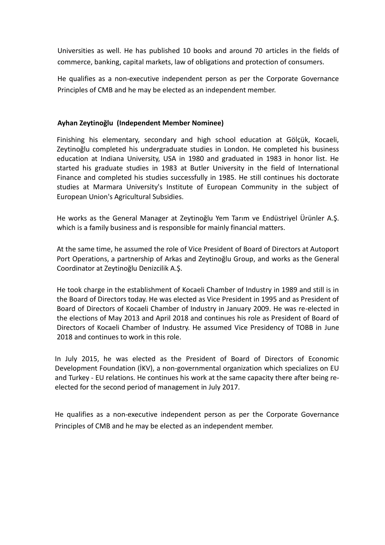Universities as well. He has published 10 books and around 70 articles in the fields of commerce, banking, capital markets, law of obligations and protection of consumers.

He qualifies as a non-executive independent person as per the Corporate Governance Principles of CMB and he may be elected as an independent member.

### **Ayhan Zeytinoğlu (Independent Member Nominee)**

Finishing his elementary, secondary and high school education at Gölçük, Kocaeli, Zeytinoğlu completed his undergraduate studies in London. He completed his business education at Indiana University, USA in 1980 and graduated in 1983 in honor list. He started his graduate studies in 1983 at Butler University in the field of International Finance and completed his studies successfully in 1985. He still continues his doctorate studies at Marmara University's Institute of European Community in the subject of European Union's Agricultural Subsidies.

He works as the General Manager at Zeytinoğlu Yem Tarım ve Endüstriyel Ürünler A.Ş. which is a family business and is responsible for mainly financial matters.

At the same time, he assumed the role of Vice President of Board of Directors at Autoport Port Operations, a partnership of Arkas and Zeytinoğlu Group, and works as the General Coordinator at Zeytinoğlu Denizcilik A.Ş.

He took charge in the establishment of Kocaeli Chamber of Industry in 1989 and still is in the Board of Directors today. He was elected as Vice President in 1995 and as President of Board of Directors of Kocaeli Chamber of Industry in January 2009. He was re-elected in the elections of May 2013 and April 2018 and continues his role as President of Board of Directors of Kocaeli Chamber of Industry. He assumed Vice Presidency of TOBB in June 2018 and continues to work in this role.

In July 2015, he was elected as the President of Board of Directors of Economic Development Foundation (İKV), a non-governmental organization which specializes on EU and Turkey - EU relations. He continues his work at the same capacity there after being reelected for the second period of management in July 2017.

He qualifies as a non-executive independent person as per the Corporate Governance Principles of CMB and he may be elected as an independent member.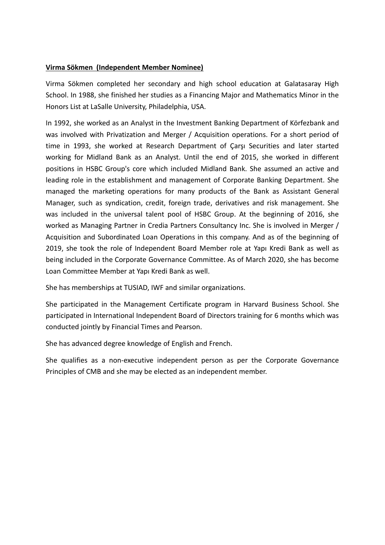### **Virma Sökmen (Independent Member Nominee)**

Virma Sökmen completed her secondary and high school education at Galatasaray High School. In 1988, she finished her studies as a Financing Major and Mathematics Minor in the Honors List at LaSalle University, Philadelphia, USA.

In 1992, she worked as an Analyst in the Investment Banking Department of Körfezbank and was involved with Privatization and Merger / Acquisition operations. For a short period of time in 1993, she worked at Research Department of Çarşı Securities and later started working for Midland Bank as an Analyst. Until the end of 2015, she worked in different positions in HSBC Group's core which included Midland Bank. She assumed an active and leading role in the establishment and management of Corporate Banking Department. She managed the marketing operations for many products of the Bank as Assistant General Manager, such as syndication, credit, foreign trade, derivatives and risk management. She was included in the universal talent pool of HSBC Group. At the beginning of 2016, she worked as Managing Partner in Credia Partners Consultancy Inc. She is involved in Merger / Acquisition and Subordinated Loan Operations in this company. And as of the beginning of 2019, she took the role of Independent Board Member role at Yapı Kredi Bank as well as being included in the Corporate Governance Committee. As of March 2020, she has become Loan Committee Member at Yapı Kredi Bank as well.

She has memberships at TUSIAD, IWF and similar organizations.

She participated in the Management Certificate program in Harvard Business School. She participated in International Independent Board of Directors training for 6 months which was conducted jointly by Financial Times and Pearson.

She has advanced degree knowledge of English and French.

She qualifies as a non-executive independent person as per the Corporate Governance Principles of CMB and she may be elected as an independent member.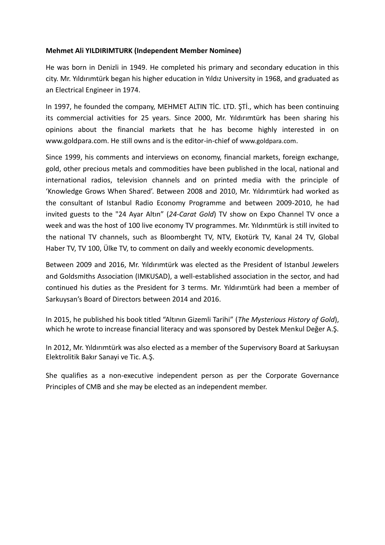#### **Mehmet Ali YILDIRIMTURK (Independent Member Nominee)**

He was born in Denizli in 1949. He completed his primary and secondary education in this city. Mr. Yıldırımtürk began his higher education in Yıldız University in 1968, and graduated as an Electrical Engineer in 1974.

In 1997, he founded the company, MEHMET ALTIN TİC. LTD. ŞTİ., which has been continuing its commercial activities for 25 years. Since 2000, Mr. Yıldırımtürk has been sharing his opinions about the financial markets that he has become highly interested in on www.goldpara.com. He still owns and is the editor-in-chief of [www.goldpara.com](http://www.goldpara.com/).

Since 1999, his comments and interviews on economy, financial markets, foreign exchange, gold, other precious metals and commodities have been published in the local, national and international radios, television channels and on printed media with the principle of 'Knowledge Grows When Shared'. Between 2008 and 2010, Mr. Yıldırımtürk had worked as the consultant of Istanbul Radio Economy Programme and between 2009-2010, he had invited guests to the "24 Ayar Altın" (*24-Carat Gold*) TV show on Expo Channel TV once a week and was the host of 100 live economy TV programmes. Mr. Yıldırımtürk is still invited to the national TV channels, such as Bloomberght TV, NTV, Ekotürk TV, Kanal 24 TV, Global Haber TV, TV 100, Ülke TV, to comment on daily and weekly economic developments.

Between 2009 and 2016, Mr. Yıldırımtürk was elected as the President of Istanbul Jewelers and Goldsmiths Association (IMKUSAD), a well-established association in the sector, and had continued his duties as the President for 3 terms. Mr. Yıldırımtürk had been a member of Sarkuysan's Board of Directors between 2014 and 2016.

In 2015, he published his book titled "Altının Gizemli Tarihi" (*The Mysterious History of Gold*), which he wrote to increase financial literacy and was sponsored by Destek Menkul Değer A.Ş.

In 2012, Mr. Yıldırımtürk was also elected as a member of the Supervisory Board at Sarkuysan Elektrolitik Bakır Sanayi ve Tic. A.Ş.

She qualifies as a non-executive independent person as per the Corporate Governance Principles of CMB and she may be elected as an independent member.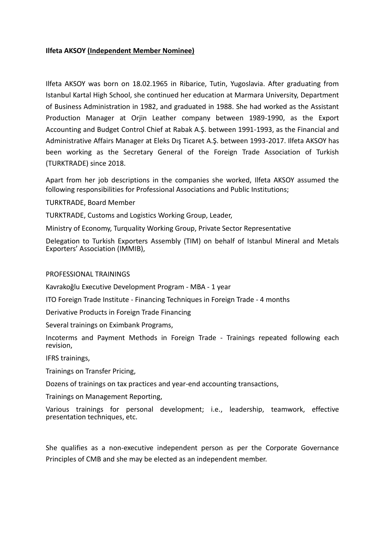#### **Ilfeta AKSOY (Independent Member Nominee)**

Ilfeta AKSOY was born on 18.02.1965 in Ribarice, Tutin, Yugoslavia. After graduating from Istanbul Kartal High School, she continued her education at Marmara University, Department of Business Administration in 1982, and graduated in 1988. She had worked as the Assistant Production Manager at Orjin Leather company between 1989-1990, as the Export Accounting and Budget Control Chief at Rabak A.Ş. between 1991-1993, as the Financial and Administrative Affairs Manager at Eleks Dış Ticaret A.Ş. between 1993-2017. Ilfeta AKSOY has been working as the Secretary General of the Foreign Trade Association of Turkish (TURKTRADE) since 2018.

Apart from her job descriptions in the companies she worked, Ilfeta AKSOY assumed the following responsibilities for Professional Associations and Public Institutions;

TURKTRADE, Board Member

TURKTRADE, Customs and Logistics Working Group, Leader,

Ministry of Economy, Turquality Working Group, Private Sector Representative

Delegation to Turkish Exporters Assembly (TIM) on behalf of Istanbul Mineral and Metals Exporters' Association (IMMIB),

#### PROFESSIONAL TRAININGS

Kavrakoğlu Executive Development Program - MBA - 1 year

ITO Foreign Trade Institute - Financing Techniques in Foreign Trade - 4 months

Derivative Products in Foreign Trade Financing

Several trainings on Eximbank Programs,

Incoterms and Payment Methods in Foreign Trade - Trainings repeated following each revision,

IFRS trainings,

Trainings on Transfer Pricing,

Dozens of trainings on tax practices and year-end accounting transactions,

Trainings on Management Reporting,

Various trainings for personal development; i.e., leadership, teamwork, effective presentation techniques, etc.

She qualifies as a non-executive independent person as per the Corporate Governance Principles of CMB and she may be elected as an independent member.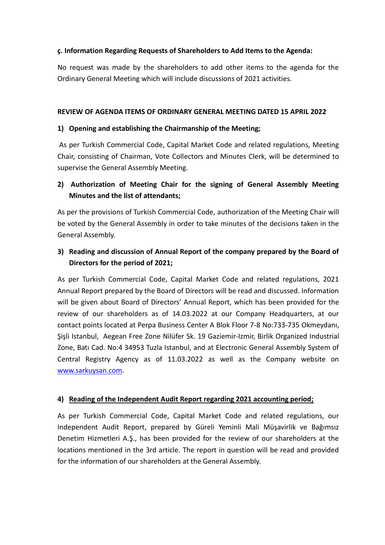### **ç. Information Regarding Requests of Shareholders to Add Items to the Agenda:**

No request was made by the shareholders to add other items to the agenda for the Ordinary General Meeting which will include discussions of 2021 activities.

#### **REVIEW OF AGENDA ITEMS OF ORDINARY GENERAL MEETING DATED 15 APRIL 2022**

### **1) Opening and establishing the Chairmanship of the Meeting;**

As per Turkish Commercial Code, Capital Market Code and related regulations, Meeting Chair, consisting of Chairman, Vote Collectors and Minutes Clerk, will be determined to supervise the General Assembly Meeting.

### **2) Authorization of Meeting Chair for the signing of General Assembly Meeting Minutes and the list of attendants;**

As per the provisions of Turkish Commercial Code, authorization of the Meeting Chair will be voted by the General Assembly in order to take minutes of the decisions taken in the General Assembly.

## **3) Reading and discussion of Annual Report of the company prepared by the Board of Directors for the period of 2021;**

As per Turkish Commercial Code, Capital Market Code and related regulations, 2021 Annual Report prepared by the Board of Directors will be read and discussed. Information will be given about Board of Directors' Annual Report, which has been provided for the review of our shareholders as of 14.03.2022 at our Company Headquarters, at our contact points located at Perpa Business Center A Blok Floor 7-8 No:733-735 Okmeydanı, Şişli Istanbul, Aegean Free Zone Nilüfer Sk. 19 Gaziemir-Izmir, Birlik Organized Industrial Zone, Batı Cad. No:4 34953 Tuzla Istanbul, and at Electronic General Assembly System of Central Registry Agency as of 11.03.2022 as well as the Company website on [www.sarkuysan.com.](http://www.sarkuysan.com/)

### **4) Reading of the Independent Audit Report regarding 2021 accounting period;**

As per Turkish Commercial Code, Capital Market Code and related regulations, our Independent Audit Report, prepared by Güreli Yeminli Mali Müşavirlik ve Bağımsız Denetim Hizmetleri A.Ş., has been provided for the review of our shareholders at the locations mentioned in the 3rd article. The report in question will be read and provided for the information of our shareholders at the General Assembly.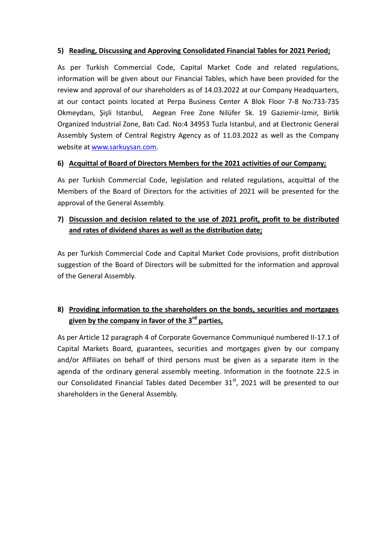### **5) Reading, Discussing and Approving Consolidated Financial Tables for 2021 Period;**

As per Turkish Commercial Code, Capital Market Code and related regulations, information will be given about our Financial Tables, which have been provided for the review and approval of our shareholders as of 14.03.2022 at our Company Headquarters, at our contact points located at Perpa Business Center A Blok Floor 7-8 No:733-735 Okmeydanı, Şişli Istanbul, Aegean Free Zone Nilüfer Sk. 19 Gaziemir-Izmir, Birlik Organized Industrial Zone, Batı Cad. No:4 34953 Tuzla Istanbul, and at Electronic General Assembly System of Central Registry Agency as of 11.03.2022 as well as the Company website at [www.sarkuysan.com.](http://www.sarkuysan.com/)

### **6) Acquittal of Board of Directors Members for the 2021 activities of our Company;**

As per Turkish Commercial Code, legislation and related regulations, acquittal of the Members of the Board of Directors for the activities of 2021 will be presented for the approval of the General Assembly.

### **7) Discussion and decision related to the use of 2021 profit, profit to be distributed and rates of dividend shares as well as the distribution date;**

As per Turkish Commercial Code and Capital Market Code provisions, profit distribution suggestion of the Board of Directors will be submitted for the information and approval of the General Assembly.

## **8) Providing information to the shareholders on the bonds, securities and mortgages given by the company in favor of the 3rd parties,**

As per Article 12 paragraph 4 of Corporate Governance Communiqué numbered II-17.1 of Capital Markets Board, guarantees, securities and mortgages given by our company and/or Affiliates on behalf of third persons must be given as a separate item in the agenda of the ordinary general assembly meeting. Information in the footnote 22.5 in our Consolidated Financial Tables dated December  $31<sup>st</sup>$ , 2021 will be presented to our shareholders in the General Assembly.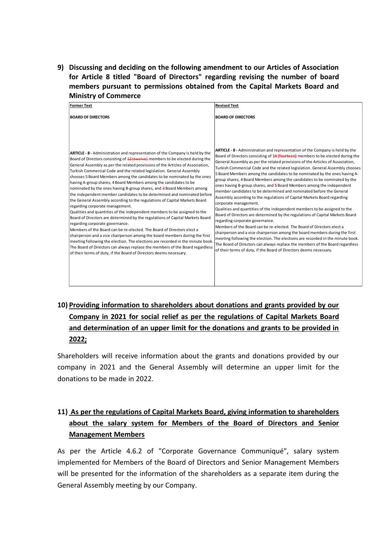**9) Discussing and deciding on the following amendment to our Articles of Association for Article 8 titled "Board of Directors" regarding revising the number of board members pursuant to permissions obtained from the Capital Markets Board and Ministry of Commerce**

| <b>Former Text</b>                                                                                                                                                                                                                                                                                                                                                                                                                                                                                                                                                                                                                                                                                                                                                                                                                                                                                                                                                                                                                                                                                                                                                                                                                                                                                                                                           | <b>Revised Text</b>                                                                                                                                                                                                                                                                                                                                                                                                                                                                                                                                                                                                                                                                                                                                                                                                                                                                                                                                                                                                                                                                                                                                                                                                                                                                                                                                    |
|--------------------------------------------------------------------------------------------------------------------------------------------------------------------------------------------------------------------------------------------------------------------------------------------------------------------------------------------------------------------------------------------------------------------------------------------------------------------------------------------------------------------------------------------------------------------------------------------------------------------------------------------------------------------------------------------------------------------------------------------------------------------------------------------------------------------------------------------------------------------------------------------------------------------------------------------------------------------------------------------------------------------------------------------------------------------------------------------------------------------------------------------------------------------------------------------------------------------------------------------------------------------------------------------------------------------------------------------------------------|--------------------------------------------------------------------------------------------------------------------------------------------------------------------------------------------------------------------------------------------------------------------------------------------------------------------------------------------------------------------------------------------------------------------------------------------------------------------------------------------------------------------------------------------------------------------------------------------------------------------------------------------------------------------------------------------------------------------------------------------------------------------------------------------------------------------------------------------------------------------------------------------------------------------------------------------------------------------------------------------------------------------------------------------------------------------------------------------------------------------------------------------------------------------------------------------------------------------------------------------------------------------------------------------------------------------------------------------------------|
| <b>BOARD OF DIRECTORS</b>                                                                                                                                                                                                                                                                                                                                                                                                                                                                                                                                                                                                                                                                                                                                                                                                                                                                                                                                                                                                                                                                                                                                                                                                                                                                                                                                    | <b>BOARD OF DIRECTORS</b>                                                                                                                                                                                                                                                                                                                                                                                                                                                                                                                                                                                                                                                                                                                                                                                                                                                                                                                                                                                                                                                                                                                                                                                                                                                                                                                              |
| <b>ARTICLE - 8 -</b> Administration and representation of the Company is held by the<br>Board of Directors consisting of $12$ (twelve) members to be elected during the<br>General Assembly as per the related provisions of the Articles of Association,<br>Turkish Commercial Code and the related legislation. General Assembly<br>chooses 5 Board Members among the candidates to be nominated by the ones<br>having A-group shares, 4 Board Members among the candidates to be<br>nominated by the ones having B-group shares, and 3 Board Members among<br>the independent member candidates to be determined and nominated before<br>the General Assembly according to the regulations of Capital Markets Board<br>regarding corporate management.<br>Qualities and quantities of the independent members to be assigned to the<br>Board of Directors are determined by the regulations of Capital Markets Board<br>regarding corporate governance.<br>Members of the Board can be re-elected. The Board of Directors elect a<br>chairperson and a vice chairperson among the board members during the first<br>meeting following the election. The elections are recorded in the minute book.<br>The Board of Directors can always replace the members of the Board regardless<br>of their terms of duty, if the Board of Directors deems necessary. | ARTICLE - 8 - Administration and representation of the Company is held by the<br>Board of Directors consisting of 14 (fourteen) members to be elected during the<br>General Assembly as per the related provisions of the Articles of Association,<br>Turkish Commercial Code and the related legislation. General Assembly chooses<br>5 Board Members among the candidates to be nominated by the ones having A-<br>group shares, 4 Board Members among the candidates to be nominated by the<br>ones having B-group shares, and 5 Board Members among the independent<br>member candidates to be determined and nominated before the General<br>Assembly according to the regulations of Capital Markets Board regarding<br>corporate management.<br>Qualities and quantities of the independent members to be assigned to the<br>Board of Directors are determined by the regulations of Capital Markets Board<br>regarding corporate governance.<br>Members of the Board can be re-elected. The Board of Directors elect a<br>chairperson and a vice chairperson among the board members during the first<br>meeting following the election. The elections are recorded in the minute book.<br>The Board of Directors can always replace the members of the Board regardless<br>of their terms of duty, if the Board of Directors deems necessary. |

# **10) Providing information to shareholders about donations and grants provided by our Company in 2021 for social relief as per the regulations of Capital Markets Board and determination of an upper limit for the donations and grants to be provided in 2022;**

Shareholders will receive information about the grants and donations provided by our company in 2021 and the General Assembly will determine an upper limit for the donations to be made in 2022.

## **11) As per the regulations of Capital Markets Board, giving information to shareholders about the salary system for Members of the Board of Directors and Senior Management Members**

As per the Article 4.6.2 of "Corporate Governance Communiqué", salary system implemented for Members of the Board of Directors and Senior Management Members will be presented for the information of the shareholders as a separate item during the General Assembly meeting by our Company.